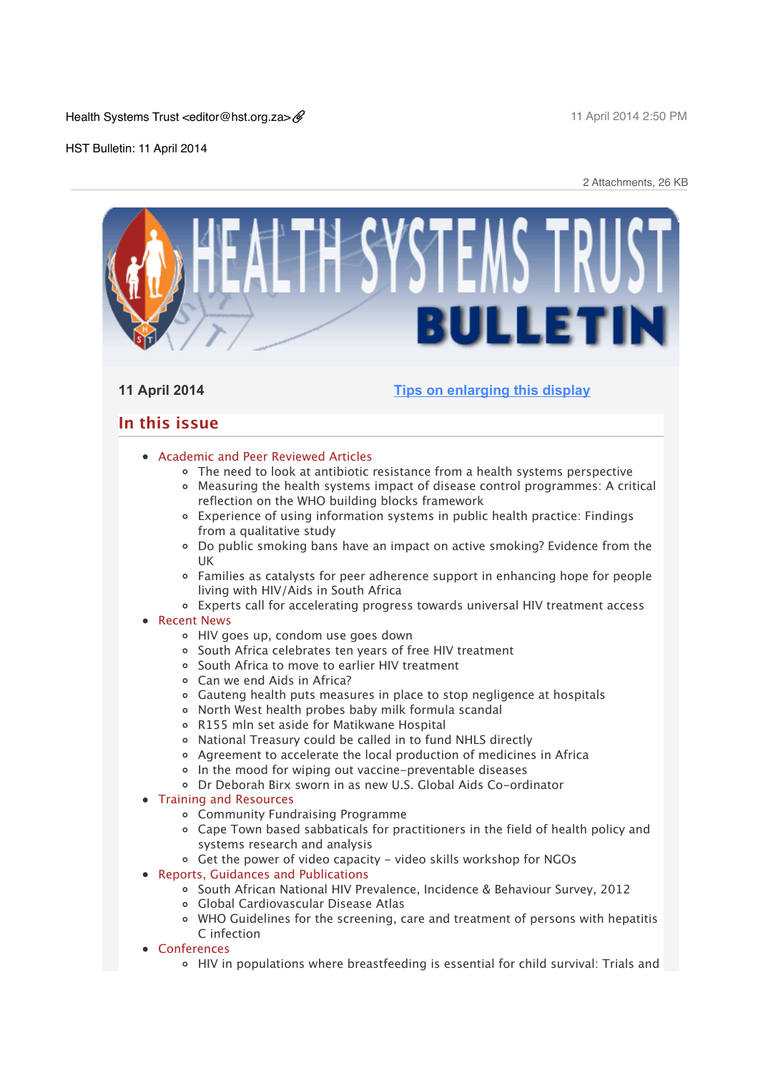Health Systems Trust <editor@hst.org.za>

11 April 2014 2:50 PM

HST Bulletin: 11 April 2014

2 Attachments, 26 KB

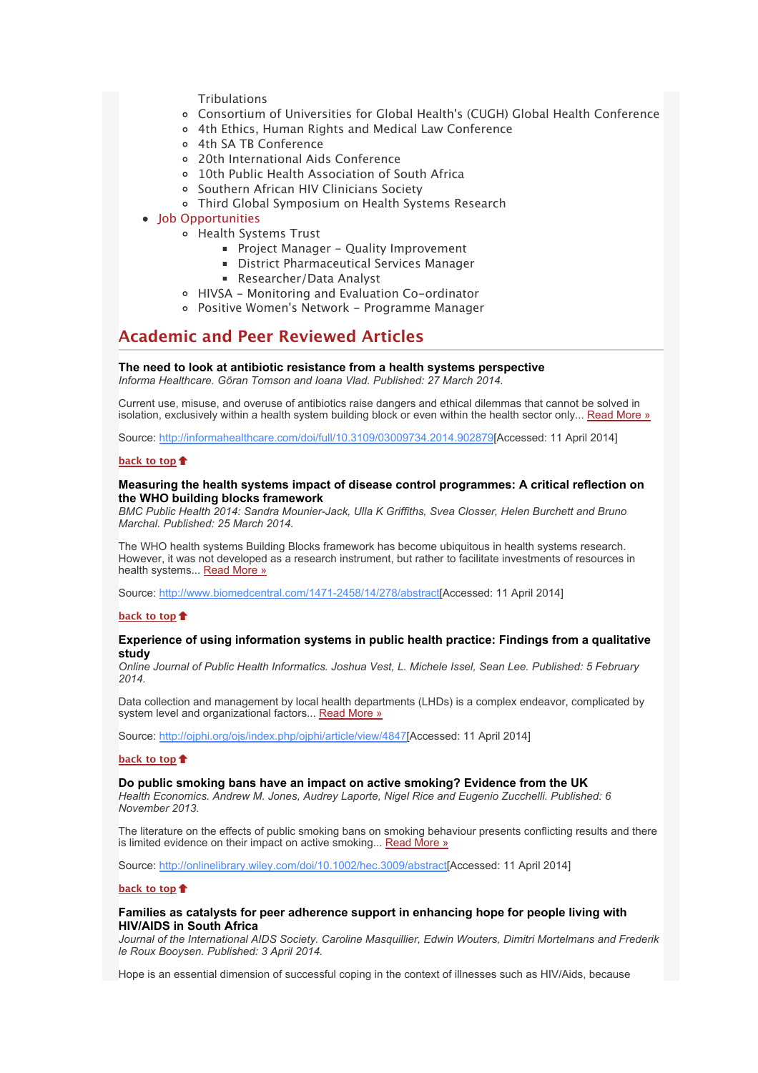- **[Tribulations](x-msg://398/#C_1)**
- [Consortium of Universities for Global Health's \(CUGH\) Global Health Conference](x-msg://398/#C_2)
- [4th Ethics, Human Rights and Medical Law Conference](x-msg://398/#C_3)
- [4th SA TB Conference](x-msg://398/#C_4)
- [20th International Aids Conference](x-msg://398/#C_5)
- [10th Public Health Association of South Africa](x-msg://398/#C_6)
- [Southern African HIV Clinicians Society](x-msg://398/#C_7)
- [Third Global Symposium on Health Systems Research](x-msg://398/#C_8)
- Iob Opportunities
	- [Health Systems Trust](x-msg://398/#J_1)
		- **[Project Manager Quality Improvement](x-msg://398/#J_2)**
		- **[District Pharmaceutical Services Manager](x-msg://398/#J_3)**
		- [Researcher/Data Analyst](x-msg://398/#J_4)
	- [HIVSA Monitoring and Evaluation Co-ordinator](x-msg://398/#J_5)
	- [Positive Women's Network Programme Manager](x-msg://398/#J_6)

# **Academic and Peer Reviewed Articles**

## **The need to look at antibiotic resistance from a health systems perspective**

*Informa Healthcare. Göran Tomson and Ioana Vlad. Published: 27 March 2014.*

Current use, misuse, and overuse of antibiotics raise dangers and ethical dilemmas that cannot be solved in isolation, exclusively within a health system building block or even within the health sector only... Read More  $\frac{1}{2}$ 

Source: [http://informahealthcare.com/doi/full/10.3109/03009734.2014.902879\[](http://bulletin.hst.org.za//lt.php?id=K09RC11XXQEOSlNSCkUEAFdT)Accessed: 11 April 2014]

#### **[back to top](x-msg://398/#top)**

## **Measuring the health systems impact of disease control programmes: A critical reflection on the WHO building blocks framework**

*BMC Public Health 2014: Sandra Mounier-Jack, Ulla K Griffiths, Svea Closser, Helen Burchett and Bruno Marchal. Published: 25 March 2014.*

The WHO health systems Building Blocks framework has become ubiquitous in health systems research. However, it was not developed as a research instrument, but rather to facilitate investments of resources in health systems... **Read More** »

Source: [http://www.biomedcentral.com/1471-2458/14/278/abstract\[](http://bulletin.hst.org.za//lt.php?id=K09RC11XXQ4HSlNSCkUEAFdT)Accessed: 11 April 2014]

## **[back to top](x-msg://398/#top)**

## **Experience of using information systems in public health practice: Findings from a qualitative study**

*Online Journal of Public Health Informatics. Joshua Vest, L. Michele Issel, Sean Lee. Published: 5 February 2014.*

Data collection and management by local health departments (LHDs) is a complex endeavor, complicated by system level and organizational factors... [Read More »](http://bulletin.hst.org.za//lt.php?id=K09RC11XXQ4GSlNSCkUEAFdT)

Source: [http://ojphi.org/ojs/index.php/ojphi/article/view/4847](http://bulletin.hst.org.za//lt.php?id=K09RC11XXQ4GSlNSCkUEAFdT)[Accessed: 11 April 2014]

## **[back to top](x-msg://398/#top)**

# **Do public smoking bans have an impact on active smoking? Evidence from the UK**

*Health Economics. Andrew M. Jones, Audrey Laporte, Nigel Rice and Eugenio Zucchelli. Published: 6 November 2013.*

The literature on the effects of public smoking bans on smoking behaviour presents conflicting results and there is limited evidence on their impact on active smoking... [Read More »](http://bulletin.hst.org.za//lt.php?id=K09RC11XXQ4FSlNSCkUEAFdT)

Source: [http://onlinelibrary.wiley.com/doi/10.1002/hec.3009/abstract\[](http://bulletin.hst.org.za//lt.php?id=K09RC11XXQ4FSlNSCkUEAFdT)Accessed: 11 April 2014]

## **[back to top](x-msg://398/#top)**

## **Families as catalysts for peer adherence support in enhancing hope for people living with HIV/AIDS in South Africa**

*Journal of the International AIDS Society. Caroline Masquillier, Edwin Wouters, Dimitri Mortelmans and Frederik le Roux Booysen. Published: 3 April 2014.*

Hope is an essential dimension of successful coping in the context of illnesses such as HIV/Aids, because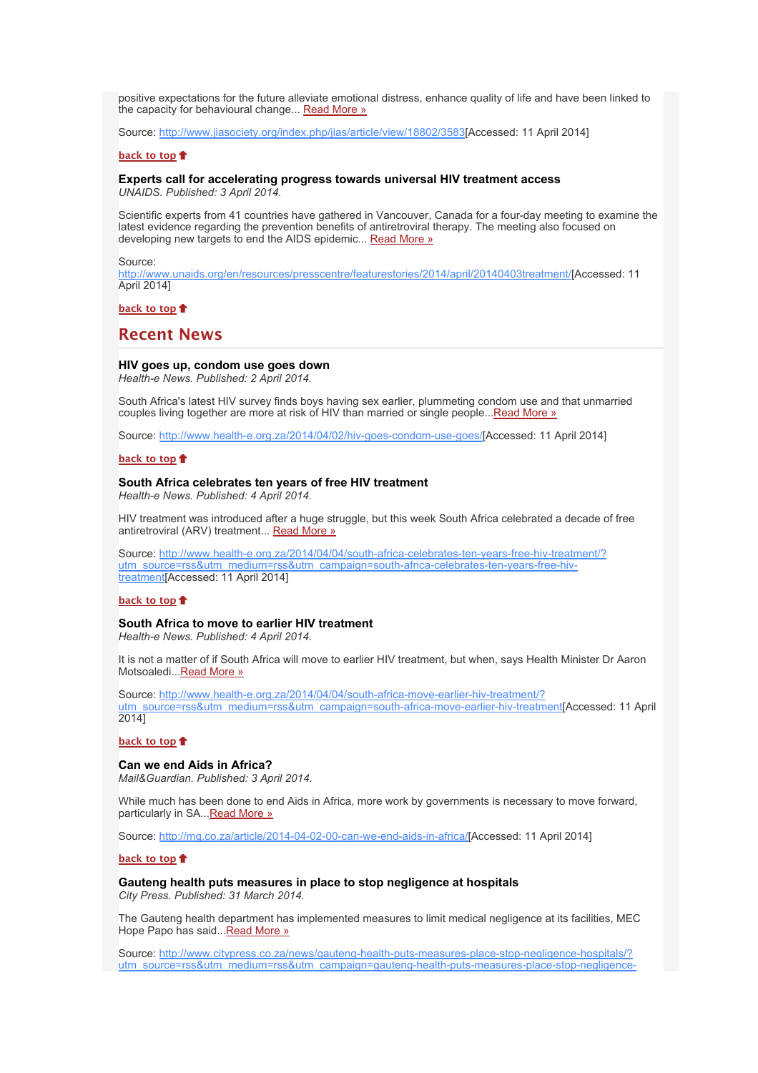positive expectations for the future alleviate emotional distress, enhance quality of life and have been linked to the capacity for behavioural change... [Read More »](http://bulletin.hst.org.za//lt.php?id=K09RC11XXQ4ESlNSCkUEAFdT)

Source: [http://www.jiasociety.org/index.php/jias/article/view/18802/3583](http://bulletin.hst.org.za//lt.php?id=K09RC11XXQ4ESlNSCkUEAFdT)[Accessed: 11 April 2014]

#### **[back to top](x-msg://398/#top)**

#### **Experts call for accelerating progress towards universal HIV treatment access** *UNAIDS. Published: 3 April 2014.*

Scientific experts from 41 countries have gathered in Vancouver, Canada for a four-day meeting to examine the latest evidence regarding the prevention benefits of antiretroviral therapy. The meeting also focused on developing new targets to end the AIDS epidemic... [Read More »](http://bulletin.hst.org.za//lt.php?id=K09RC11XXQ4DSlNSCkUEAFdT)

#### Source:

[http://www.unaids.org/en/resources/presscentre/featurestories/2014/april/20140403treatment/\[](http://bulletin.hst.org.za//lt.php?id=K09RC11XXQ4DSlNSCkUEAFdT)Accessed: 11 April 2014]

**[back to top](x-msg://398/#top)**

# **Recent News**

### **HIV goes up, condom use goes down**

*Health-e News. Published: 2 April 2014.*

South Africa's latest HIV survey finds boys having sex earlier, plummeting condom use and that unmarried couples living together are more at risk of HIV than married or single people... Read More »

Source: [http://www.health-e.org.za/2014/04/02/hiv-goes-condom-use-goes/\[](http://bulletin.hst.org.za//lt.php?id=K09RC11XXQ4CSlNSCkUEAFdT)Accessed: 11 April 2014]

#### **[back to top](x-msg://398/#top)**

#### **South Africa celebrates ten years of free HIV treatment**

*Health-e News. Published: 4 April 2014.*

HIV treatment was introduced after a huge struggle, but this week South Africa celebrated a decade of free antiretroviral (ARV) treatment... [Read More »](http://bulletin.hst.org.za//lt.php?id=K09RC11XXQ4BSlNSCkUEAFdT)

[Source: http://www.health-e.org.za/2014/04/04/south-africa-celebrates-ten-years-free-hiv-treatment/?](http://bulletin.hst.org.za//lt.php?id=K09RC11XXQ4BSlNSCkUEAFdT) utm\_source=rss&utm\_medium=rss&utm\_campaign=south-africa-celebrates-ten-years-free-hivtreatment[Accessed: 11 April 2014]

### **[back to top](x-msg://398/#top)**

**South Africa to move to earlier HIV treatment**

*Health-e News. Published: 4 April 2014.*

It is not a matter of if South Africa will move to earlier HIV treatment, but when, says Health Minister Dr Aaron Motsoaledi..[.Read More »](http://bulletin.hst.org.za//lt.php?id=K09RC11XXQ4ASlNSCkUEAFdT)

Source: http://www.health-e.org.za/2014/04/04/south-africa-move-earlier-hiv-treatment/? [utm\\_source=rss&utm\\_medium=rss&utm\\_campaign=south-africa-move-earlier-hiv-treatment\[](http://bulletin.hst.org.za//lt.php?id=K09RC11XXQ4ASlNSCkUEAFdT)Accessed: 11 April 2014]

#### **[back to top](x-msg://398/#top)**

#### **Can we end Aids in Africa?**

*Mail&Guardian. Published: 3 April 2014.*

While much has been done to end Aids in Africa, more work by governments is necessary to move forward, particularly in SA... Read More »

Source: [http://mg.co.za/article/2014-04-02-00-can-we-end-aids-in-africa/\[](http://bulletin.hst.org.za//lt.php?id=K09RC11XXQ4PSlNSCkUEAFdT)Accessed: 11 April 2014]

## **[back to top](x-msg://398/#top)**

#### **Gauteng health puts measures in place to stop negligence at hospitals** *City Press. Published: 31 March 2014.*

The Gauteng health department has implemented measures to limit medical negligence at its facilities, MEC Hope Papo has said..[.Read More »](http://bulletin.hst.org.za//lt.php?id=K09RC11XXQ4OSlNSCkUEAFdT)

[Source: http://www.citypress.co.za/news/gauteng-health-puts-measures-place-stop-negligence-hospitals/?](http://bulletin.hst.org.za//lt.php?id=K09RC11XXQ8HSlNSCkUEAFdT) utm\_source=rss&utm\_medium=rss&utm\_campaign=gauteng-health-puts-measures-place-stop-negligence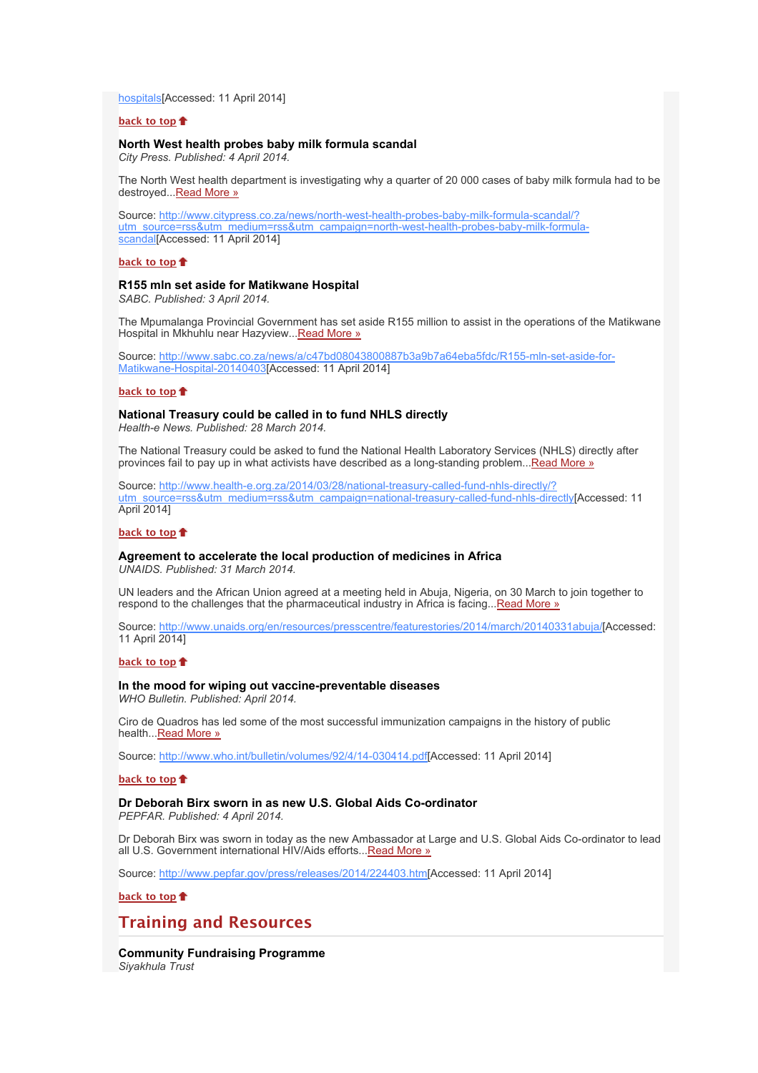[hospitals\[Accessed: 11 April 2014\]](http://bulletin.hst.org.za//lt.php?id=K09RC11XXQ8HSlNSCkUEAFdT)

## **[back to top](x-msg://398/#top)**

## **North West health probes baby milk formula scandal**

*City Press. Published: 4 April 2014.*

The North West health department is investigating why a quarter of 20 000 cases of baby milk formula had to be destroyed..[.Read More »](http://bulletin.hst.org.za//lt.php?id=K09RC11XXQ8GSlNSCkUEAFdT)

Source: http://www.citypress.co.za/news/north-west-health-probes-baby-milk-formula-scandal/? [utm\\_source=rss&utm\\_medium=rss&utm\\_campaign=north-west-health-probes-baby-milk-formula](http://bulletin.hst.org.za//lt.php?id=K09RC11XXQ8FSlNSCkUEAFdT)scandal[Accessed: 11 April 2014]

## **[back to top](x-msg://398/#top)**

### **R155 mln set aside for Matikwane Hospital**

*SABC. Published: 3 April 2014.*

The Mpumalanga Provincial Government has set aside R155 million to assist in the operations of the Matikwane Hospital in Mkhuhlu near Hazyview..[.Read More »](http://bulletin.hst.org.za//lt.php?id=K09RC11XXQ8ESlNSCkUEAFdT)

[Source: http://www.sabc.co.za/news/a/c47bd08043800887b3a9b7a64eba5fdc/R155-mln-set-aside-for-](http://bulletin.hst.org.za//lt.php?id=K09RC11XXQ8ESlNSCkUEAFdT)Matikwane-Hospital-20140403[Accessed: 11 April 2014]

#### **[back to top](x-msg://398/#top)**

# **National Treasury could be called in to fund NHLS directly**

*Health-e News. Published: 28 March 2014.*

The National Treasury could be asked to fund the National Health Laboratory Services (NHLS) directly after provinces fail to pay up in what activists have described as a long-standing problem... Read More »

Source: http://www.health-e.org.za/2014/03/28/national-treasury-called-fund-nhls-directly/? [utm\\_source=rss&utm\\_medium=rss&utm\\_campaign=national-treasury-called-fund-nhls-directly\[](http://bulletin.hst.org.za//lt.php?id=K09RC11XXQ8DSlNSCkUEAFdT)Accessed: 11 April 2014]

## **[back to top](x-msg://398/#top)**

## **Agreement to accelerate the local production of medicines in Africa**

*UNAIDS. Published: 31 March 2014.*

UN leaders and the African Union agreed at a meeting held in Abuja, Nigeria, on 30 March to join together to respond to the challenges that the pharmaceutical industry in Africa is facing...[Read More »](http://bulletin.hst.org.za//lt.php?id=K09RC11XXQ8CSlNSCkUEAFdT)

Source: [http://www.unaids.org/en/resources/presscentre/featurestories/2014/march/20140331abuja/\[](http://bulletin.hst.org.za//lt.php?id=K09RC11XXQ8CSlNSCkUEAFdT)Accessed: 11 April 2014]

## **[back to top](x-msg://398/#top)**

### **In the mood for wiping out vaccine-preventable diseases**

*WHO Bulletin. Published: April 2014.*

Ciro de Quadros has led some of the most successful immunization campaigns in the history of public health..[.Read More »](http://bulletin.hst.org.za//lt.php?id=K09RC11XXQ8BSlNSCkUEAFdT)

Source: [http://www.who.int/bulletin/volumes/92/4/14-030414.pdf\[](http://bulletin.hst.org.za//lt.php?id=K09RC11XXQ8BSlNSCkUEAFdT)Accessed: 11 April 2014]

### **[back to top](x-msg://398/#top)**

**Dr Deborah Birx sworn in as new U.S. Global Aids Co-ordinator** *PEPFAR. Published: 4 April 2014.*

Dr Deborah Birx was sworn in today as the new Ambassador at Large and U.S. Global Aids Co-ordinator to lead all U.S. Government international HIV/Aids efforts..[.Read More »](http://bulletin.hst.org.za//lt.php?id=K09RC11XXQ8ASlNSCkUEAFdT)

Source: [http://www.pepfar.gov/press/releases/2014/224403.htm\[](http://bulletin.hst.org.za//lt.php?id=K09RC11XXQ8ASlNSCkUEAFdT)Accessed: 11 April 2014]

**[back to top](x-msg://398/#top)**

# **Training and Resources**

**Community Fundraising Programme** *Siyakhula Trust*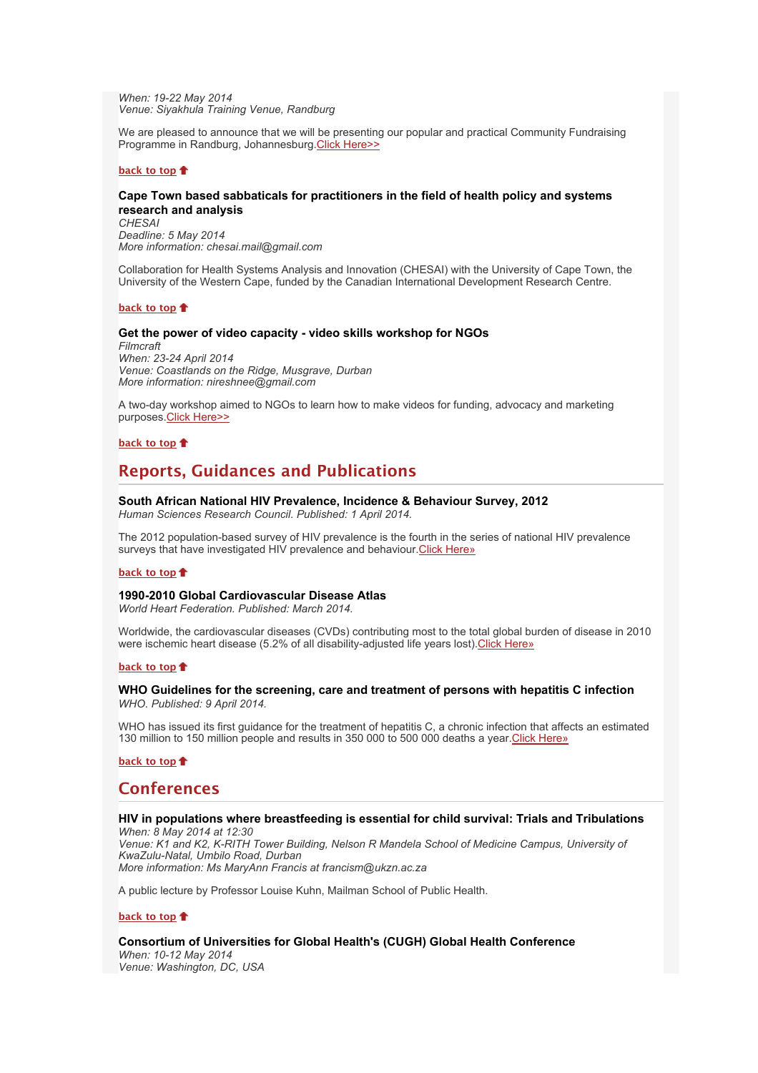*When: 19-22 May 2014 Venue: Siyakhula Training Venue, Randburg*

We are pleased to announce that we will be presenting our popular and practical Community Fundraising Programme in Randburg, Johannesburg. Click Here>>

#### **[back to top](x-msg://398/#top)**

## **Cape Town based sabbaticals for practitioners in the field of health policy and systems research and analysis**

*CHESAI Deadline: 5 May 2014 More information: chesai.mail@gmail.com*

Collaboration for Health Systems Analysis and Innovation (CHESAI) with the University of Cape Town, the University of the Western Cape, funded by the Canadian International Development Research Centre.

## **[back to top](x-msg://398/#top)**

#### **Get the power of video capacity - video skills workshop for NGOs**

*Filmcraft When: 23-24 April 2014 Venue: Coastlands on the Ridge, Musgrave, Durban More information: nireshnee@gmail.com*

A two-day workshop aimed to NGOs to learn how to make videos for funding, advocacy and marketing purposes[.Click Here>>](x-msg://398/www.filmcraft.weebly.com)

## **[back to top](x-msg://398/#top)**

# **Reports, Guidances and Publications**

## **South African National HIV Prevalence, Incidence & Behaviour Survey, 2012**

*Human Sciences Research Council. Published: 1 April 2014.*

The 2012 population-based survey of HIV prevalence is the fourth in the series of national HIV prevalence surveys that have investigated HIV prevalence and behaviour [Click Here»](http://bulletin.hst.org.za//lt.php?id=K09RC11XXQ8OSlNSCkUEAFdT)

## **[back to top](x-msg://398/#top)**

### **1990-2010 Global Cardiovascular Disease Atlas**

*World Heart Federation. Published: March 2014.*

Worldwide, the cardiovascular diseases (CVDs) contributing most to the total global burden of disease in 2010 were ischemic heart disease (5.2% of all disability-adjusted life years lost)[.Click Here»](http://bulletin.hst.org.za//lt.php?id=K09RC11XXAYHSlNSCkUEAFdT)

## **[back to top](x-msg://398/#top)**

## **WHO Guidelines for the screening, care and treatment of persons with hepatitis C infection** *WHO. Published: 9 April 2014.*

WHO has issued its first quidance for the treatment of hepatitis C, a chronic infection that affects an estimated 130 million to 150 million people and results in 350 000 to 500 000 deaths a year. Click Here»

## **[back to top](x-msg://398/#top)**

# **Conferences**

### **HIV in populations where breastfeeding is essential for child survival: Trials and Tribulations** *When: 8 May 2014 at 12:30*

*Venue: K1 and K2, K-RITH Tower Building, Nelson R Mandela School of Medicine Campus, University of KwaZulu-Natal, Umbilo Road, Durban More information: Ms MaryAnn Francis at francism@ukzn.ac.za*

A public lecture by Professor Louise Kuhn, Mailman School of Public Health.

## **[back to top](x-msg://398/#top)**

## **Consortium of Universities for Global Health's (CUGH) Global Health Conference**

*When: 10-12 May 2014 Venue: Washington, DC, USA*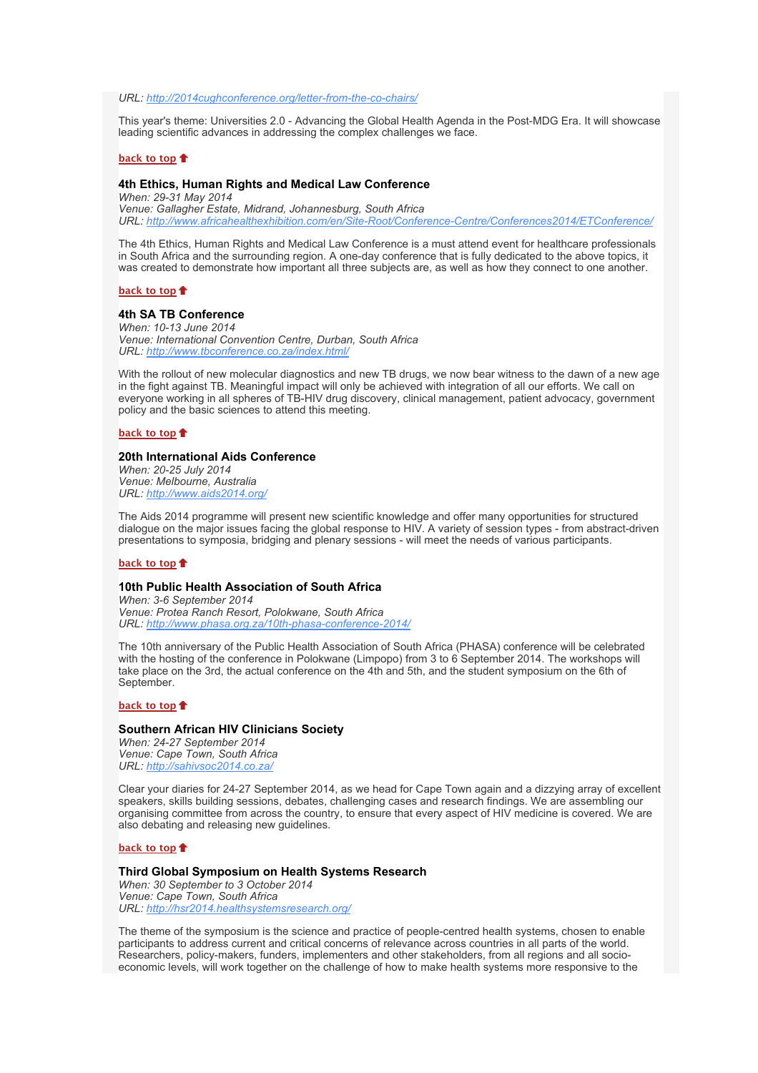*URL: [http://2014cughconference.org/letter-from-the-co-chairs/](http://bulletin.hst.org.za//lt.php?id=K09RC11XXAYFSlNSCkUEAFdT)*

This year's theme: Universities 2.0 - Advancing the Global Health Agenda in the Post-MDG Era. It will showcase leading scientific advances in addressing the complex challenges we face.

## **[back to top](x-msg://398/#top)**

# **4th Ethics, Human Rights and Medical Law Conference**

*When: 29-31 May 2014 Venue: Gallagher Estate, Midrand, Johannesburg, South Africa URL: [http://www.africahealthexhibition.com/en/Site-Root/Conference-Centre/Conferences2014/ETConference/](http://bulletin.hst.org.za//lt.php?id=K09RC11XXAYESlNSCkUEAFdT)*

The 4th Ethics, Human Rights and Medical Law Conference is a must attend event for healthcare professionals in South Africa and the surrounding region. A one-day conference that is fully dedicated to the above topics, it was created to demonstrate how important all three subjects are, as well as how they connect to one another.

**[back to top](x-msg://398/#top)**

# **4th SA TB Conference**

*When: 10-13 June 2014 Venue: International Convention Centre, Durban, South Africa URL: [http://www.tbconference.co.za/index.html/](http://bulletin.hst.org.za//lt.php?id=K09RC11XXAYDSlNSCkUEAFdT)*

With the rollout of new molecular diagnostics and new TB drugs, we now bear witness to the dawn of a new age in the fight against TB. Meaningful impact will only be achieved with integration of all our efforts. We call on everyone working in all spheres of TB-HIV drug discovery, clinical management, patient advocacy, government policy and the basic sciences to attend this meeting.

#### **[back to top](x-msg://398/#top)**

### **20th International Aids Conference**

*When: 20-25 July 2014 Venue: Melbourne, Australia URL: [http://www.aids2014.org/](http://bulletin.hst.org.za//lt.php?id=K09RC11XXAYCSlNSCkUEAFdT)*

The Aids 2014 programme will present new scientific knowledge and offer many opportunities for structured dialogue on the major issues facing the global response to HIV. A variety of session types - from abstract-driven presentations to symposia, bridging and plenary sessions - will meet the needs of various participants.

## **[back to top](x-msg://398/#top)**

## **10th Public Health Association of South Africa**

*When: 3-6 September 2014 Venue: Protea Ranch Resort, Polokwane, South Africa URL: [http://www.phasa.org.za/10th-phasa-conference-2014/](http://bulletin.hst.org.za//lt.php?id=K09RC11XXAYBSlNSCkUEAFdT)*

The 10th anniversary of the Public Health Association of South Africa (PHASA) conference will be celebrated with the hosting of the conference in Polokwane (Limpopo) from 3 to 6 September 2014. The workshops will take place on the 3rd, the actual conference on the 4th and 5th, and the student symposium on the 6th of September.

#### **[back to top](x-msg://398/#top)**

#### **Southern African HIV Clinicians Society**

*When: 24-27 September 2014 Venue: Cape Town, South Africa URL: [http://sahivsoc2014.co.za/](http://bulletin.hst.org.za//lt.php?id=K09RC11XXAYASlNSCkUEAFdT)*

Clear your diaries for 24-27 September 2014, as we head for Cape Town again and a dizzying array of excellent speakers, skills building sessions, debates, challenging cases and research findings. We are assembling our organising committee from across the country, to ensure that every aspect of HIV medicine is covered. We are also debating and releasing new guidelines.

## **[back to top](x-msg://398/#top)**

### **Third Global Symposium on Health Systems Research**

*When: 30 September to 3 October 2014 Venue: Cape Town, South Africa URL: [http://hsr2014.healthsystemsresearch.org/](http://bulletin.hst.org.za//lt.php?id=K09RC11XXAYPSlNSCkUEAFdT)*

The theme of the symposium is the science and practice of people-centred health systems, chosen to enable participants to address current and critical concerns of relevance across countries in all parts of the world. Researchers, policy-makers, funders, implementers and other stakeholders, from all regions and all socioeconomic levels, will work together on the challenge of how to make health systems more responsive to the